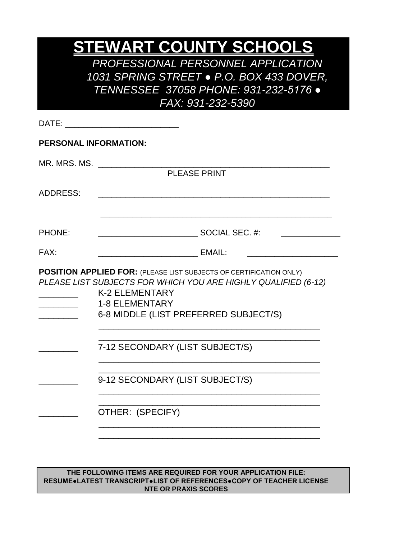# **STEWART COUNTY SCHOOLS**

*PROFESSIONAL PERSONNEL APPLICATION 1031 SPRING STREET* ● *P.O. BOX 433 DOVER, TENNESSEE 37058 PHONE: 931-232-5176 ● FAX: 931-232-5390*

| <b>PERSONAL INFORMATION:</b><br><b>PLEASE PRINT</b>                                                                                                                                                                                    |  |
|----------------------------------------------------------------------------------------------------------------------------------------------------------------------------------------------------------------------------------------|--|
| MR. MRS. MS.<br><b>ADDRESS:</b>                                                                                                                                                                                                        |  |
|                                                                                                                                                                                                                                        |  |
|                                                                                                                                                                                                                                        |  |
| <b>PHONE:</b>                                                                                                                                                                                                                          |  |
|                                                                                                                                                                                                                                        |  |
| FAX:<br><b>EMAIL:</b>                                                                                                                                                                                                                  |  |
| <b>POSITION APPLIED FOR: (PLEASE LIST SUBJECTS OF CERTIFICATION ONLY)</b><br>PLEASE LIST SUBJECTS FOR WHICH YOU ARE HIGHLY QUALIFIED (6-12)<br><b>K-2 ELEMENTARY</b><br><b>1-8 ELEMENTARY</b><br>6-8 MIDDLE (LIST PREFERRED SUBJECT/S) |  |
| 7-12 SECONDARY (LIST SUBJECT/S)                                                                                                                                                                                                        |  |
| 9-12 SECONDARY (LIST SUBJECT/S)                                                                                                                                                                                                        |  |
| OTHER: (SPECIFY)                                                                                                                                                                                                                       |  |
|                                                                                                                                                                                                                                        |  |
|                                                                                                                                                                                                                                        |  |

**THE FOLLOWING ITEMS ARE REQUIRED FOR YOUR APPLICATION FILE: RESUME●LATEST TRANSCRIPT●LIST OF REFERENCES●COPY OF TEACHER LICENSE NTE OR PRAXIS SCORES**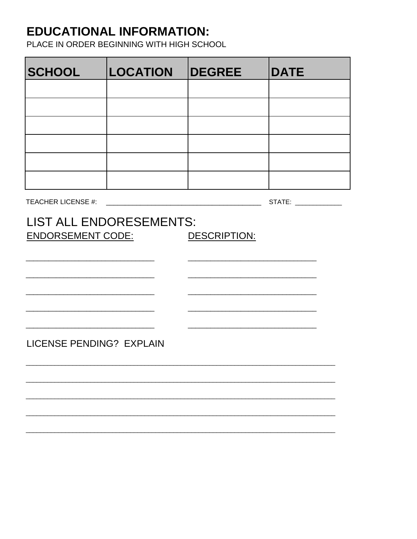#### **EDUCATIONAL INFORMATION:**

PLACE IN ORDER BEGINNING WITH HIGH SCHOOL

| <b>SCHOOL</b>             | <b>LOCATION</b>                | <b>DEGREE</b> | <b>DATE</b> |
|---------------------------|--------------------------------|---------------|-------------|
|                           |                                |               |             |
|                           |                                |               |             |
|                           |                                |               |             |
|                           |                                |               |             |
|                           |                                |               |             |
|                           |                                |               |             |
| <b>TEACHER LICENSE #:</b> |                                |               |             |
| <b>ENDORSEMENT CODE:</b>  | <b>LIST ALL ENDORESEMENTS:</b> | DESCRIPTION:  |             |
| LICENSE PENDING? EXPLAIN  |                                |               |             |
|                           |                                |               |             |
|                           |                                |               |             |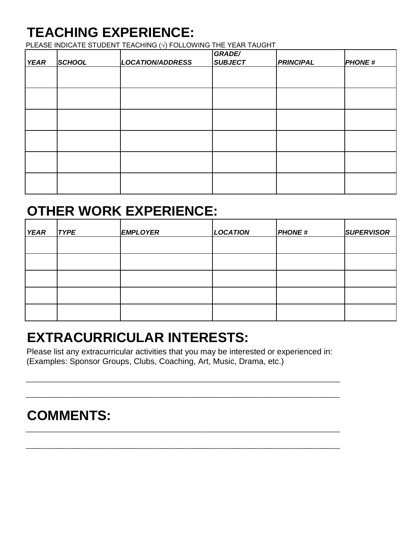# **TEACHING EXPERIENCE:**

PLEASE INDICATE STUDENT TEACHING (√) FOLLOWING THE YEAR TAUGHT

| <b>YEAR</b> | <b>SCHOOL</b> | <b>LOCATION/ADDRESS</b> | GRADE/<br><b>SUBJECT</b> | <b>PRINCIPAL</b> | <b>PHONE#</b> |
|-------------|---------------|-------------------------|--------------------------|------------------|---------------|
|             |               |                         |                          |                  |               |
|             |               |                         |                          |                  |               |
|             |               |                         |                          |                  |               |
|             |               |                         |                          |                  |               |
|             |               |                         |                          |                  |               |
|             |               |                         |                          |                  |               |

### **OTHER WORK EXPERIENCE:**

| <b>YEAR</b> | <b>TYPE</b> | <b>EMPLOYER</b> | <b>LOCATION</b> | <b>PHONE#</b> | <b>SUPERVISOR</b> |
|-------------|-------------|-----------------|-----------------|---------------|-------------------|
|             |             |                 |                 |               |                   |
|             |             |                 |                 |               |                   |
|             |             |                 |                 |               |                   |
|             |             |                 |                 |               |                   |
|             |             |                 |                 |               |                   |

## **EXTRACURRICULAR INTERESTS:**

Please list any extracurricular activities that you may be interested or experienced in: (Examples: Sponsor Groups, Clubs, Coaching, Art, Music, Drama, etc.)

\_\_\_\_\_\_\_\_\_\_\_\_\_\_\_\_\_\_\_\_\_\_\_\_\_\_\_\_\_\_\_\_\_\_\_\_\_\_\_\_\_\_\_\_\_\_\_\_\_\_\_\_\_\_\_\_\_\_\_\_\_\_\_\_\_\_\_\_\_\_\_\_\_\_\_\_\_\_\_\_\_\_\_

\_\_\_\_\_\_\_\_\_\_\_\_\_\_\_\_\_\_\_\_\_\_\_\_\_\_\_\_\_\_\_\_\_\_\_\_\_\_\_\_\_\_\_\_\_\_\_\_\_\_\_\_\_\_\_\_\_\_\_\_\_\_\_\_\_\_\_\_\_\_\_\_\_\_\_\_\_\_\_\_\_\_\_

\_\_\_\_\_\_\_\_\_\_\_\_\_\_\_\_\_\_\_\_\_\_\_\_\_\_\_\_\_\_\_\_\_\_\_\_\_\_\_\_\_\_\_\_\_\_\_\_\_\_\_\_\_\_\_\_\_\_\_\_\_\_\_\_\_\_\_\_\_\_\_\_\_\_\_\_\_\_\_\_\_\_\_

\_\_\_\_\_\_\_\_\_\_\_\_\_\_\_\_\_\_\_\_\_\_\_\_\_\_\_\_\_\_\_\_\_\_\_\_\_\_\_\_\_\_\_\_\_\_\_\_\_\_\_\_\_\_\_\_\_\_\_\_\_\_\_\_\_\_\_\_\_\_\_\_\_\_\_\_\_\_\_\_\_\_\_

### **COMMENTS:**